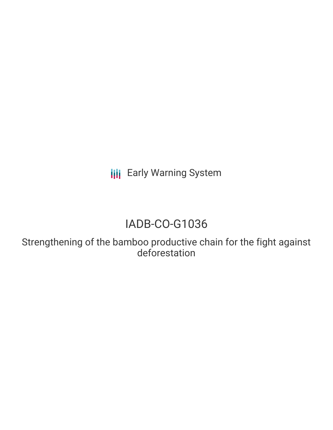**III** Early Warning System

# IADB-CO-G1036

Strengthening of the bamboo productive chain for the fight against deforestation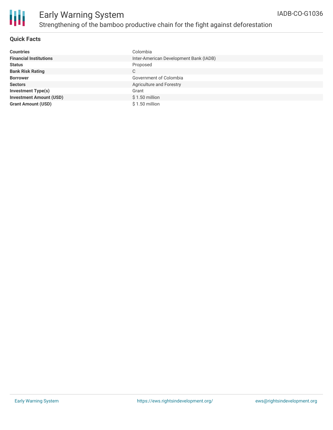

### **Quick Facts**

| <b>Countries</b>               | Colombia                               |
|--------------------------------|----------------------------------------|
| <b>Financial Institutions</b>  | Inter-American Development Bank (IADB) |
| <b>Status</b>                  | Proposed                               |
| <b>Bank Risk Rating</b>        | C                                      |
| <b>Borrower</b>                | Government of Colombia                 |
| <b>Sectors</b>                 | Agriculture and Forestry               |
| <b>Investment Type(s)</b>      | Grant                                  |
| <b>Investment Amount (USD)</b> | $$1.50$ million                        |
| <b>Grant Amount (USD)</b>      | $$1.50$ million                        |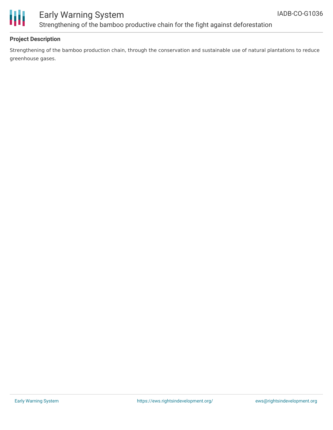

### **Project Description**

Strengthening of the bamboo production chain, through the conservation and sustainable use of natural plantations to reduce greenhouse gases.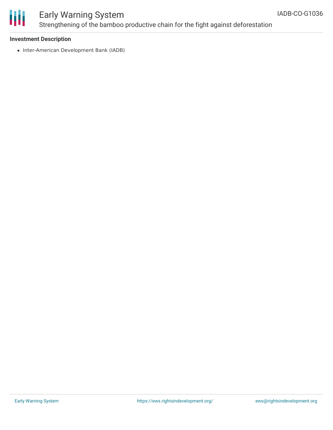

#### **Investment Description**

• Inter-American Development Bank (IADB)